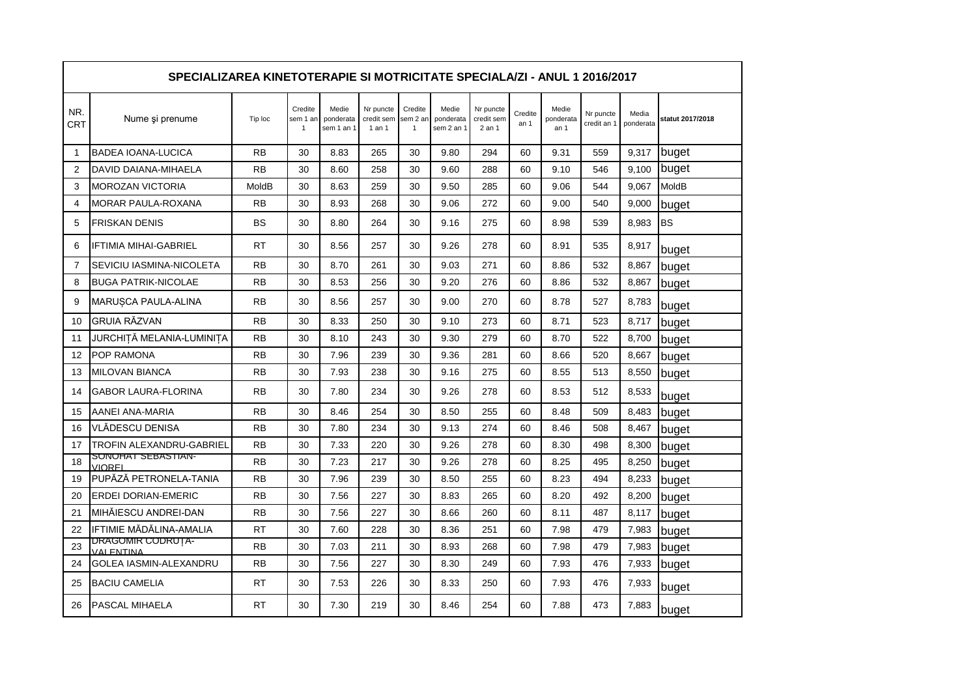| SPECIALIZAREA KINETOTERAPIE SI MOTRICITATE SPECIALA/ZI - ANUL 1 2016/2017 |                                 |           |                          |                                  |                                   |                                     |                                  |                                   |                 |                            |                          |                    |                  |
|---------------------------------------------------------------------------|---------------------------------|-----------|--------------------------|----------------------------------|-----------------------------------|-------------------------------------|----------------------------------|-----------------------------------|-----------------|----------------------------|--------------------------|--------------------|------------------|
| NR.<br>CRT                                                                | Nume și prenume                 | Tip loc   | Credite<br>sem 1 ar<br>1 | Medie<br>ponderata<br>sem 1 an 1 | Nr puncte<br>credit sem<br>1 an 1 | Credite<br>sem 2 ar<br>$\mathbf{1}$ | Medie<br>ponderata<br>sem 2 an 1 | Nr puncte<br>credit sem<br>2 an 1 | Credite<br>an 1 | Medie<br>ponderata<br>an 1 | Nr puncte<br>credit an 1 | Media<br>ponderata | statut 2017/2018 |
| $\mathbf{1}$                                                              | <b>BADEA IOANA-LUCICA</b>       | <b>RB</b> | 30                       | 8.83                             | 265                               | 30                                  | 9.80                             | 294                               | 60              | 9.31                       | 559                      | 9,317              | buget            |
| $\overline{2}$                                                            | DAVID DAIANA-MIHAELA            | <b>RB</b> | 30                       | 8.60                             | 258                               | 30                                  | 9.60                             | 288                               | 60              | 9.10                       | 546                      | 9.100              | buget            |
| 3                                                                         | <b>MOROZAN VICTORIA</b>         | MoldB     | 30                       | 8.63                             | 259                               | 30                                  | 9.50                             | 285                               | 60              | 9.06                       | 544                      | 9,067              | MoldB            |
| 4                                                                         | <b>MORAR PAULA-ROXANA</b>       | <b>RB</b> | 30                       | 8.93                             | 268                               | 30                                  | 9.06                             | 272                               | 60              | 9.00                       | 540                      | 9.000              | buget            |
| 5                                                                         | <b>FRISKAN DENIS</b>            | <b>BS</b> | 30                       | 8.80                             | 264                               | 30                                  | 9.16                             | 275                               | 60              | 8.98                       | 539                      | 8.983              | <b>BS</b>        |
| 6                                                                         | <b>IFTIMIA MIHAI-GABRIEL</b>    | <b>RT</b> | 30                       | 8.56                             | 257                               | 30                                  | 9.26                             | 278                               | 60              | 8.91                       | 535                      | 8,917              | buget            |
| $\overline{7}$                                                            | SEVICIU IASMINA-NICOLETA        | <b>RB</b> | 30                       | 8.70                             | 261                               | 30                                  | 9.03                             | 271                               | 60              | 8.86                       | 532                      | 8.867              | buget            |
| 8                                                                         | <b>BUGA PATRIK-NICOLAE</b>      | <b>RB</b> | 30                       | 8.53                             | 256                               | 30                                  | 9.20                             | 276                               | 60              | 8.86                       | 532                      | 8,867              | buget            |
| 9                                                                         | MARUȘCA PAULA-ALINA             | <b>RB</b> | 30                       | 8.56                             | 257                               | 30                                  | 9.00                             | 270                               | 60              | 8.78                       | 527                      | 8.783              | buget            |
| 10                                                                        | <b>GRUIA RĂZVAN</b>             | <b>RB</b> | 30                       | 8.33                             | 250                               | 30                                  | 9.10                             | 273                               | 60              | 8.71                       | 523                      | 8,717              | buget            |
| 11                                                                        | JURCHIȚĂ MELANIA-LUMINIȚA       | <b>RB</b> | 30                       | 8.10                             | 243                               | 30                                  | 9.30                             | 279                               | 60              | 8.70                       | 522                      | 8,700              | buget            |
| 12                                                                        | POP RAMONA                      | <b>RB</b> | 30                       | 7.96                             | 239                               | 30                                  | 9.36                             | 281                               | 60              | 8.66                       | 520                      | 8,667              | buget            |
| 13                                                                        | <b>MILOVAN BIANCA</b>           | <b>RB</b> | 30                       | 7.93                             | 238                               | 30                                  | 9.16                             | 275                               | 60              | 8.55                       | 513                      | 8,550              | buget            |
| 14                                                                        | <b>GABOR LAURA-FLORINA</b>      | <b>RB</b> | 30                       | 7.80                             | 234                               | 30                                  | 9.26                             | 278                               | 60              | 8.53                       | 512                      | 8,533              | buget            |
| 15                                                                        | AANEI ANA-MARIA                 | <b>RB</b> | 30                       | 8.46                             | 254                               | 30                                  | 8.50                             | 255                               | 60              | 8.48                       | 509                      | 8,483              | buget            |
| 16                                                                        | VLĂDESCU DENISA                 | <b>RB</b> | 30                       | 7.80                             | 234                               | 30                                  | 9.13                             | 274                               | 60              | 8.46                       | 508                      | 8,467              | buget            |
| 17                                                                        | <b>TROFIN ALEXANDRU-GABRIEL</b> | <b>RB</b> | 30                       | 7.33                             | 220                               | 30                                  | 9.26                             | 278                               | 60              | 8.30                       | 498                      | 8,300              | buget            |
| 18                                                                        | SUNUHAT SEBASTIAN-<br>VIOREI    | <b>RB</b> | 30                       | 7.23                             | 217                               | 30                                  | 9.26                             | 278                               | 60              | 8.25                       | 495                      | 8,250              | buget            |
| 19                                                                        | PUPĂZĂ PETRONELA-TANIA          | <b>RB</b> | 30                       | 7.96                             | 239                               | 30                                  | 8.50                             | 255                               | 60              | 8.23                       | 494                      | 8,233              | buget            |
| 20                                                                        | <b>ERDEI DORIAN-EMERIC</b>      | <b>RB</b> | 30                       | 7.56                             | 227                               | 30                                  | 8.83                             | 265                               | 60              | 8.20                       | 492                      | 8,200              | buget            |
| 21                                                                        | MIHĂIESCU ANDREI-DAN            | <b>RB</b> | 30                       | 7.56                             | 227                               | 30                                  | 8.66                             | 260                               | 60              | 8.11                       | 487                      | 8,117              | buget            |
| 22                                                                        | IFTIMIE MĂDĂLINA-AMALIA         | <b>RT</b> | 30                       | 7.60                             | 228                               | 30                                  | 8.36                             | 251                               | 60              | 7.98                       | 479                      | 7,983              | buget            |
| 23                                                                        | DRAGOMIR CODRUȚA-<br>VAI ENTINA | <b>RB</b> | 30                       | 7.03                             | 211                               | 30                                  | 8.93                             | 268                               | 60              | 7.98                       | 479                      | 7,983              | buget            |
| 24                                                                        | <b>GOLEA IASMIN-ALEXANDRU</b>   | <b>RB</b> | 30                       | 7.56                             | 227                               | 30                                  | 8.30                             | 249                               | 60              | 7.93                       | 476                      | 7,933              | buget            |
| 25                                                                        | <b>BACIU CAMELIA</b>            | <b>RT</b> | 30                       | 7.53                             | 226                               | 30                                  | 8.33                             | 250                               | 60              | 7.93                       | 476                      | 7,933              | buget            |
| 26                                                                        | <b>PASCAL MIHAELA</b>           | <b>RT</b> | 30                       | 7.30                             | 219                               | 30                                  | 8.46                             | 254                               | 60              | 7.88                       | 473                      | 7,883              | buget            |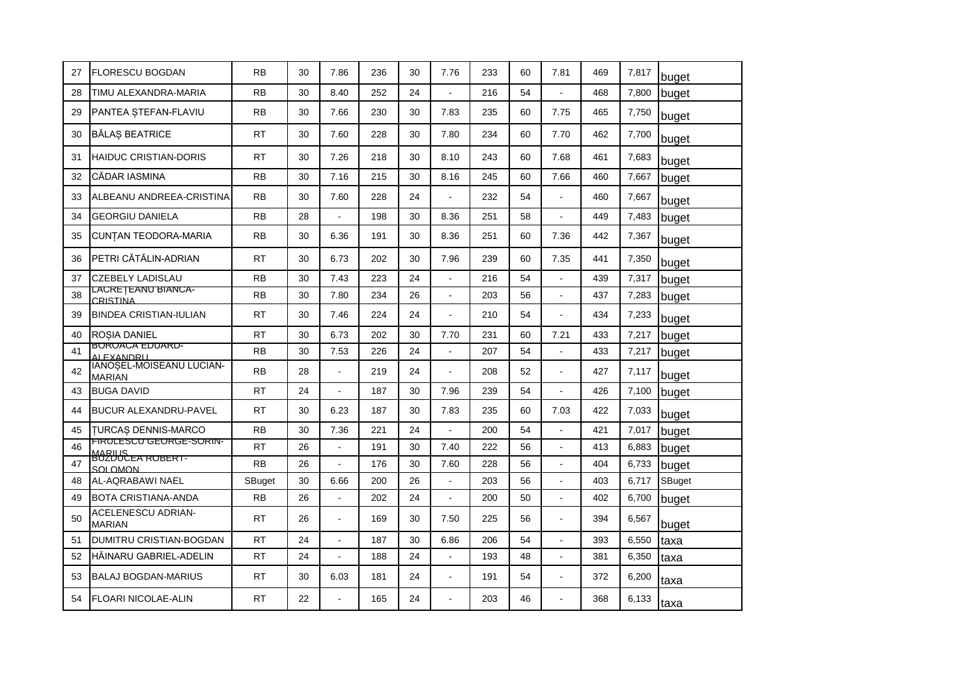| 27 | <b>FLORESCU BOGDAN</b>                    | <b>RB</b> | 30 | 7.86           | 236 | 30 | 7.76                     | 233 | 60 | 7.81           | 469 | 7,817 | buget  |
|----|-------------------------------------------|-----------|----|----------------|-----|----|--------------------------|-----|----|----------------|-----|-------|--------|
| 28 | TIMU ALEXANDRA-MARIA                      | <b>RB</b> | 30 | 8.40           | 252 | 24 |                          | 216 | 54 |                | 468 | 7,800 | buget  |
| 29 | PANTEA STEFAN-FLAVIU                      | <b>RB</b> | 30 | 7.66           | 230 | 30 | 7.83                     | 235 | 60 | 7.75           | 465 | 7,750 | buget  |
| 30 | <b>BĂLAȘ BEATRICE</b>                     | <b>RT</b> | 30 | 7.60           | 228 | 30 | 7.80                     | 234 | 60 | 7.70           | 462 | 7,700 | buget  |
| 31 | <b>HAIDUC CRISTIAN-DORIS</b>              | <b>RT</b> | 30 | 7.26           | 218 | 30 | 8.10                     | 243 | 60 | 7.68           | 461 | 7,683 | buget  |
| 32 | CĂDAR IASMINA                             | <b>RB</b> | 30 | 7.16           | 215 | 30 | 8.16                     | 245 | 60 | 7.66           | 460 | 7,667 | buget  |
| 33 | ALBEANU ANDREEA-CRISTINA                  | <b>RB</b> | 30 | 7.60           | 228 | 24 |                          | 232 | 54 |                | 460 | 7,667 | buget  |
| 34 | <b>GEORGIU DANIELA</b>                    | <b>RB</b> | 28 |                | 198 | 30 | 8.36                     | 251 | 58 | $\mathbf{r}$   | 449 | 7,483 | buget  |
| 35 | CUNTAN TEODORA-MARIA                      | <b>RB</b> | 30 | 6.36           | 191 | 30 | 8.36                     | 251 | 60 | 7.36           | 442 | 7,367 | buget  |
| 36 | PETRI CĂTĂLIN-ADRIAN                      | <b>RT</b> | 30 | 6.73           | 202 | 30 | 7.96                     | 239 | 60 | 7.35           | 441 | 7,350 | buget  |
| 37 | <b>CZEBELY LADISLAU</b>                   | <b>RB</b> | 30 | 7.43           | 223 | 24 | $\overline{\phantom{a}}$ | 216 | 54 | $\mathbf{r}$   | 439 | 7,317 | buget  |
| 38 | LACRE   EANU BIANCA-<br>CRISTINA          | <b>RB</b> | 30 | 7.80           | 234 | 26 |                          | 203 | 56 |                | 437 | 7,283 | buget  |
| 39 | <b>BINDEA CRISTIAN-IULIAN</b>             | <b>RT</b> | 30 | 7.46           | 224 | 24 | $\mathbf{r}$             | 210 | 54 |                | 434 | 7,233 | buget  |
| 40 | <b>ROSIA DANIEL</b>                       | <b>RT</b> | 30 | 6.73           | 202 | 30 | 7.70                     | 231 | 60 | 7.21           | 433 | 7,217 | buget  |
| 41 | <b>BURUACA EDUARD-</b><br>AI EXANDRII     | <b>RB</b> | 30 | 7.53           | 226 | 24 | $\blacksquare$           | 207 | 54 | $\blacksquare$ | 433 | 7,217 | buget  |
| 42 | IANOȘEL-MOISEANU LUCIAN-<br><b>MARIAN</b> | <b>RB</b> | 28 | $\overline{a}$ | 219 | 24 |                          | 208 | 52 | $\overline{a}$ | 427 | 7,117 | buget  |
| 43 | <b>BUGA DAVID</b>                         | <b>RT</b> | 24 |                | 187 | 30 | 7.96                     | 239 | 54 |                | 426 | 7,100 | buget  |
| 44 | <b>BUCUR ALEXANDRU-PAVEL</b>              | <b>RT</b> | 30 | 6.23           | 187 | 30 | 7.83                     | 235 | 60 | 7.03           | 422 | 7,033 | buget  |
| 45 | <b>TURCAS DENNIS-MARCO</b>                | <b>RB</b> | 30 | 7.36           | 221 | 24 |                          | 200 | 54 | $\mathbf{r}$   | 421 | 7,017 | buget  |
| 46 | FIRULESCU GEORGE-SORIN-<br><b>MARILIS</b> | <b>RT</b> | 26 | $\blacksquare$ | 191 | 30 | 7.40                     | 222 | 56 | $\blacksquare$ | 413 | 6,883 | buget  |
| 47 | SOLOMON                                   | <b>RB</b> | 26 |                | 176 | 30 | 7.60                     | 228 | 56 | $\mathbf{r}$   | 404 | 6,733 | buget  |
| 48 | AL-AQRABAWI NAEL                          | SBuget    | 30 | 6.66           | 200 | 26 |                          | 203 | 56 |                | 403 | 6,717 | SBuget |
| 49 | <b>BOTA CRISTIANA-ANDA</b>                | RB        | 26 |                | 202 | 24 |                          | 200 | 50 | $\blacksquare$ | 402 | 6,700 | buget  |
| 50 | ACELENESCU ADRIAN-<br><b>MARIAN</b>       | <b>RT</b> | 26 | $\blacksquare$ | 169 | 30 | 7.50                     | 225 | 56 | $\blacksquare$ | 394 | 6,567 | buget  |
| 51 | <b>DUMITRU CRISTIAN-BOGDAN</b>            | <b>RT</b> | 24 |                | 187 | 30 | 6.86                     | 206 | 54 |                | 393 | 6,550 | taxa   |
| 52 | HÁINARU GABRIEL-ADELIN                    | <b>RT</b> | 24 |                | 188 | 24 |                          | 193 | 48 | $\blacksquare$ | 381 | 6,350 | taxa   |
| 53 | <b>BALAJ BOGDAN-MARIUS</b>                | <b>RT</b> | 30 | 6.03           | 181 | 24 | $\overline{\phantom{a}}$ | 191 | 54 | $\mathbf{r}$   | 372 | 6,200 | taxa   |
| 54 | <b>FLOARI NICOLAE-ALIN</b>                | <b>RT</b> | 22 |                | 165 | 24 |                          | 203 | 46 |                | 368 | 6,133 | taxa   |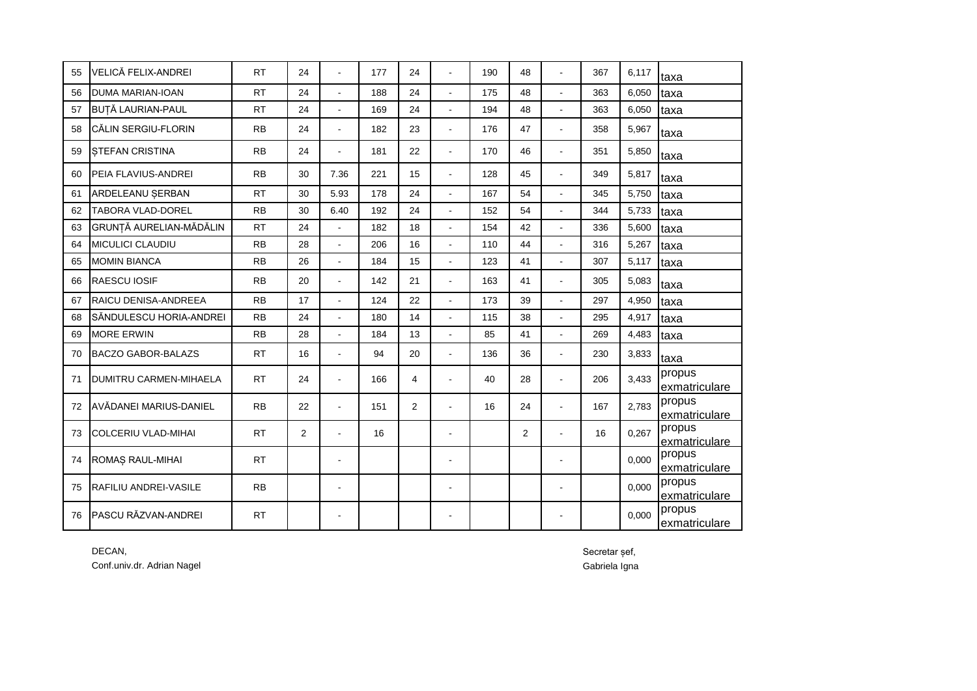| 55 | VELICĂ FELIX-ANDREI            | <b>RT</b> | 24             |                          | 177 | 24             |                          | 190 | 48             |                | 367 | 6.117 | taxa                    |
|----|--------------------------------|-----------|----------------|--------------------------|-----|----------------|--------------------------|-----|----------------|----------------|-----|-------|-------------------------|
| 56 | <b>DUMA MARIAN-IOAN</b>        | <b>RT</b> | 24             | $\overline{a}$           | 188 | 24             | $\mathbf{r}$             | 175 | 48             | L.             | 363 | 6,050 | taxa                    |
| 57 | <b>BUȚĂ LAURIAN-PAUL</b>       | <b>RT</b> | 24             | $\overline{a}$           | 169 | 24             | $\sim$                   | 194 | 48             | $\overline{a}$ | 363 | 6,050 | taxa                    |
| 58 | CĂLIN SERGIU-FLORIN            | <b>RB</b> | 24             | $\overline{a}$           | 182 | 23             | $\blacksquare$           | 176 | 47             | $\overline{a}$ | 358 | 5,967 | taxa                    |
| 59 | <b>STEFAN CRISTINA</b>         | <b>RB</b> | 24             | $\blacksquare$           | 181 | 22             | $\blacksquare$           | 170 | 46             | $\blacksquare$ | 351 | 5,850 | taxa                    |
| 60 | PEIA FLAVIUS-ANDREI            | <b>RB</b> | 30             | 7.36                     | 221 | 15             | $\blacksquare$           | 128 | 45             | $\blacksquare$ | 349 | 5,817 | taxa                    |
| 61 | ARDELEANU ŞERBAN               | <b>RT</b> | 30             | 5.93                     | 178 | 24             |                          | 167 | 54             | $\blacksquare$ | 345 | 5,750 | taxa                    |
| 62 | <b>TABORA VLAD-DOREL</b>       | <b>RB</b> | 30             | 6.40                     | 192 | 24             |                          | 152 | 54             |                | 344 | 5,733 | taxa                    |
| 63 | <b>GRUNTĂ AURELIAN-MĂDĂLIN</b> | <b>RT</b> | 24             | $\ddot{\phantom{1}}$     | 182 | 18             |                          | 154 | 42             | L.             | 336 | 5,600 | taxa                    |
| 64 | <b>MICULICI CLAUDIU</b>        | <b>RB</b> | 28             | $\overline{\phantom{a}}$ | 206 | 16             | $\sim$                   | 110 | 44             | L.             | 316 | 5,267 | taxa                    |
| 65 | <b>MOMIN BIANCA</b>            | <b>RB</b> | 26             |                          | 184 | 15             | $\mathbf{r}$             | 123 | 41             | L.             | 307 | 5,117 | taxa                    |
| 66 | <b>RAESCU IOSIF</b>            | <b>RB</b> | 20             | $\overline{\phantom{a}}$ | 142 | 21             |                          | 163 | 41             | $\blacksquare$ | 305 | 5,083 | taxa                    |
| 67 | <b>RAICU DENISA-ANDREEA</b>    | <b>RB</b> | 17             | $\overline{a}$           | 124 | 22             | $\blacksquare$           | 173 | 39             | L.             | 297 | 4,950 | taxa                    |
| 68 | SĂNDULESCU HORIA-ANDREI        | <b>RB</b> | 24             | $\overline{a}$           | 180 | 14             | $\mathbf{r}$             | 115 | 38             | L.             | 295 | 4,917 | taxa                    |
| 69 | <b>MORE ERWIN</b>              | <b>RB</b> | 28             | $\overline{a}$           | 184 | 13             | $\overline{a}$           | 85  | 41             | $\overline{a}$ | 269 | 4,483 | taxa                    |
| 70 | <b>BACZO GABOR-BALAZS</b>      | <b>RT</b> | 16             | $\overline{a}$           | 94  | 20             | $\overline{\phantom{a}}$ | 136 | 36             | $\overline{a}$ | 230 | 3,833 | taxa                    |
| 71 | <b>DUMITRU CARMEN-MIHAELA</b>  | <b>RT</b> | 24             | $\overline{a}$           | 166 | 4              |                          | 40  | 28             | $\blacksquare$ | 206 | 3,433 | propus<br>exmatriculare |
| 72 | AVĂDANEI MARIUS-DANIEL         | <b>RB</b> | 22             | $\overline{a}$           | 151 | $\overline{2}$ |                          | 16  | 24             | $\blacksquare$ | 167 | 2,783 | propus<br>exmatriculare |
| 73 | <b>COLCERIU VLAD-MIHAI</b>     | <b>RT</b> | $\overline{2}$ | $\overline{\phantom{a}}$ | 16  |                | $\blacksquare$           |     | $\overline{2}$ | $\overline{a}$ | 16  | 0,267 | propus<br>exmatriculare |
| 74 | ROMAȘ RAUL-MIHAI               | <b>RT</b> |                | $\blacksquare$           |     |                |                          |     |                |                |     | 0,000 | propus<br>exmatriculare |
| 75 | <b>RAFILIU ANDREI-VASILE</b>   | <b>RB</b> |                |                          |     |                |                          |     |                |                |     | 0.000 | propus<br>exmatriculare |
| 76 | PASCU RĂZVAN-ANDREI            | <b>RT</b> |                |                          |     |                |                          |     |                |                |     | 0.000 | propus<br>exmatriculare |

DECAN, Secretar șef, Conf.univ.dr. Adrian Nagel Gabriela Igna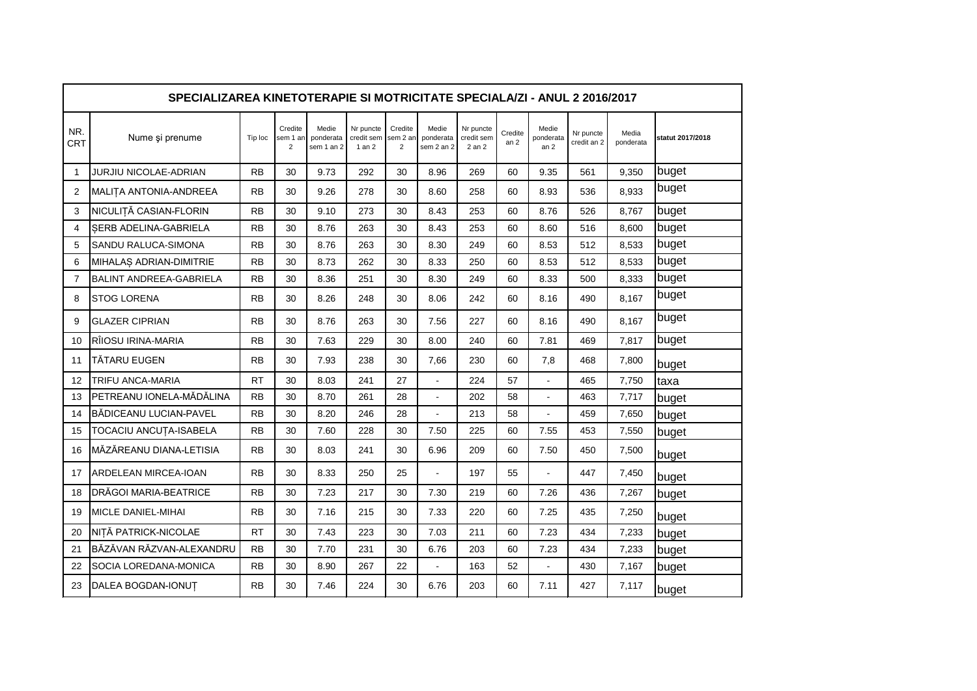|                   | SPECIALIZAREA KINETOTERAPIE SI MOTRICITATE SPECIALA/ZI - ANUL 2 2016/2017 |           |                                       |                                  |                                       |                                       |                                  |                                   |                            |                                       |                          |                    |                  |  |
|-------------------|---------------------------------------------------------------------------|-----------|---------------------------------------|----------------------------------|---------------------------------------|---------------------------------------|----------------------------------|-----------------------------------|----------------------------|---------------------------------------|--------------------------|--------------------|------------------|--|
| NR.<br><b>CRT</b> | Nume și prenume                                                           | Tip loc   | Credite<br>sem 1 an<br>$\overline{2}$ | Medie<br>ponderata<br>sem 1 an 2 | Nr puncte<br>credit sem<br>$1$ an $2$ | Credite<br>sem 2 an<br>$\overline{2}$ | Medie<br>ponderata<br>sem 2 an 2 | Nr puncte<br>credit sem<br>2 an 2 | Credite<br>an <sub>2</sub> | Medie<br>ponderata<br>an <sub>2</sub> | Nr puncte<br>credit an 2 | Media<br>ponderata | statut 2017/2018 |  |
| $\mathbf 1$       | JURJIU NICOLAE-ADRIAN                                                     | <b>RB</b> | 30                                    | 9.73                             | 292                                   | 30                                    | 8.96                             | 269                               | 60                         | 9.35                                  | 561                      | 9,350              | buget            |  |
| 2                 | MALITA ANTONIA-ANDREEA                                                    | <b>RB</b> | 30                                    | 9.26                             | 278                                   | 30                                    | 8.60                             | 258                               | 60                         | 8.93                                  | 536                      | 8,933              | buget            |  |
| 3                 | NICULIȚĂ CASIAN-FLORIN                                                    | <b>RB</b> | 30                                    | 9.10                             | 273                                   | 30                                    | 8.43                             | 253                               | 60                         | 8.76                                  | 526                      | 8,767              | buget            |  |
| 4                 | SERB ADELINA-GABRIELA                                                     | <b>RB</b> | 30                                    | 8.76                             | 263                                   | 30                                    | 8.43                             | 253                               | 60                         | 8.60                                  | 516                      | 8,600              | buget            |  |
| 5                 | SANDU RALUCA-SIMONA                                                       | <b>RB</b> | 30                                    | 8.76                             | 263                                   | 30                                    | 8.30                             | 249                               | 60                         | 8.53                                  | 512                      | 8,533              | buget            |  |
| 6                 | MIHALAȘ ADRIAN-DIMITRIE                                                   | <b>RB</b> | 30                                    | 8.73                             | 262                                   | 30                                    | 8.33                             | 250                               | 60                         | 8.53                                  | 512                      | 8,533              | buget            |  |
| 7                 | <b>BALINT ANDREEA-GABRIELA</b>                                            | <b>RB</b> | 30                                    | 8.36                             | 251                                   | 30                                    | 8.30                             | 249                               | 60                         | 8.33                                  | 500                      | 8,333              | buget            |  |
| 8                 | <b>STOG LORENA</b>                                                        | <b>RB</b> | 30                                    | 8.26                             | 248                                   | 30                                    | 8.06                             | 242                               | 60                         | 8.16                                  | 490                      | 8,167              | buget            |  |
| 9                 | <b>GLAZER CIPRIAN</b>                                                     | <b>RB</b> | 30                                    | 8.76                             | 263                                   | 30                                    | 7.56                             | 227                               | 60                         | 8.16                                  | 490                      | 8,167              | buget            |  |
| 10                | RÎIOSU IRINA-MARIA                                                        | <b>RB</b> | 30                                    | 7.63                             | 229                                   | 30                                    | 8.00                             | 240                               | 60                         | 7.81                                  | 469                      | 7,817              | buget            |  |
| 11                | TĂTARU EUGEN                                                              | <b>RB</b> | 30                                    | 7.93                             | 238                                   | 30                                    | 7,66                             | 230                               | 60                         | 7,8                                   | 468                      | 7,800              | buget            |  |
| 12                | <b>TRIFU ANCA-MARIA</b>                                                   | <b>RT</b> | 30                                    | 8.03                             | 241                                   | 27                                    | $\overline{a}$                   | 224                               | 57                         | $\overline{a}$                        | 465                      | 7.750              | taxa             |  |
| 13                | PETREANU IONELA-MĂDĂLINA                                                  | <b>RB</b> | 30                                    | 8.70                             | 261                                   | 28                                    | $\overline{a}$                   | 202                               | 58                         | ÷.                                    | 463                      | 7,717              | buget            |  |
| 14                | BĂDICEANU LUCIAN-PAVEL                                                    | <b>RB</b> | 30                                    | 8.20                             | 246                                   | 28                                    | $\overline{a}$                   | 213                               | 58                         | $\overline{a}$                        | 459                      | 7,650              | buget            |  |
| 15                | TOCACIU ANCUȚA-ISABELA                                                    | <b>RB</b> | 30                                    | 7.60                             | 228                                   | 30                                    | 7.50                             | 225                               | 60                         | 7.55                                  | 453                      | 7,550              | buget            |  |
| 16                | MĂZĂREANU DIANA-LETISIA                                                   | <b>RB</b> | 30                                    | 8.03                             | 241                                   | 30                                    | 6.96                             | 209                               | 60                         | 7.50                                  | 450                      | 7,500              | buget            |  |
| 17                | ARDELEAN MIRCEA-IOAN                                                      | <b>RB</b> | 30                                    | 8.33                             | 250                                   | 25                                    | $\mathbf{r}$                     | 197                               | 55                         | $\overline{a}$                        | 447                      | 7.450              | buget            |  |
| 18                | DRĂGOI MARIA-BEATRICE                                                     | <b>RB</b> | 30                                    | 7.23                             | 217                                   | 30                                    | 7.30                             | 219                               | 60                         | 7.26                                  | 436                      | 7,267              | buget            |  |
| 19                | MICLE DANIEL-MIHAI                                                        | <b>RB</b> | 30                                    | 7.16                             | 215                                   | 30                                    | 7.33                             | 220                               | 60                         | 7.25                                  | 435                      | 7,250              | buget            |  |
| 20                | NIȚĂ PATRICK-NICOLAE                                                      | <b>RT</b> | 30                                    | 7.43                             | 223                                   | 30                                    | 7.03                             | 211                               | 60                         | 7.23                                  | 434                      | 7,233              | buget            |  |
| 21                | BĂZĂVAN RĂZVAN-ALEXANDRU                                                  | <b>RB</b> | 30                                    | 7.70                             | 231                                   | 30                                    | 6.76                             | 203                               | 60                         | 7.23                                  | 434                      | 7,233              | buget            |  |
| 22                | SOCIA LOREDANA-MONICA                                                     | <b>RB</b> | 30                                    | 8.90                             | 267                                   | 22                                    | $\overline{\phantom{a}}$         | 163                               | 52                         |                                       | 430                      | 7,167              | buget            |  |
| 23                | DALEA BOGDAN-IONUT                                                        | <b>RB</b> | 30                                    | 7.46                             | 224                                   | 30                                    | 6.76                             | 203                               | 60                         | 7.11                                  | 427                      | 7,117              | buget            |  |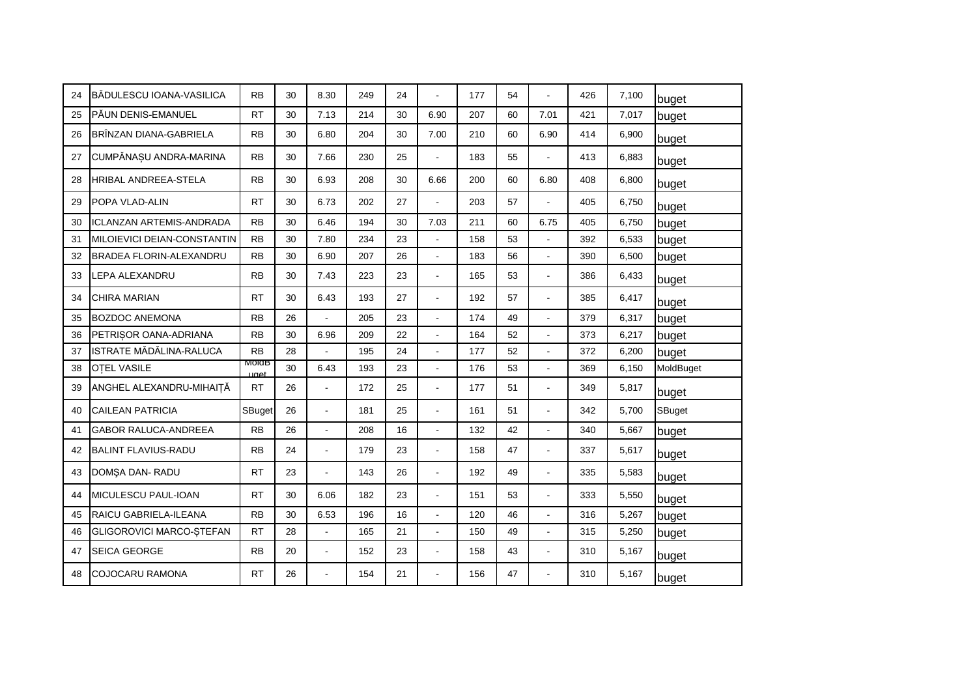| 24 | <b>I</b> BĂDULESCU IOANA-VASILICA | <b>RB</b>     | 30 | 8.30           | 249 | 24 |                      | 177 | 54 |                          | 426 | 7.100 | buget     |
|----|-----------------------------------|---------------|----|----------------|-----|----|----------------------|-----|----|--------------------------|-----|-------|-----------|
| 25 | PĂUN DENIS-EMANUEL                | <b>RT</b>     | 30 | 7.13           | 214 | 30 | 6.90                 | 207 | 60 | 7.01                     | 421 | 7,017 | buget     |
| 26 | BRÎNZAN DIANA-GABRIELA            | <b>RB</b>     | 30 | 6.80           | 204 | 30 | 7.00                 | 210 | 60 | 6.90                     | 414 | 6,900 | buget     |
| 27 | CUMPĂNAȘU ANDRA-MARINA            | <b>RB</b>     | 30 | 7.66           | 230 | 25 | $\overline{a}$       | 183 | 55 | $\overline{a}$           | 413 | 6,883 | buget     |
| 28 | <b>HRIBAL ANDREEA-STELA</b>       | <b>RB</b>     | 30 | 6.93           | 208 | 30 | 6.66                 | 200 | 60 | 6.80                     | 408 | 6,800 | buget     |
| 29 | POPA VLAD-ALIN                    | <b>RT</b>     | 30 | 6.73           | 202 | 27 | $\overline{a}$       | 203 | 57 | $\overline{\phantom{a}}$ | 405 | 6,750 | buget     |
| 30 | <b>ICLANZAN ARTEMIS-ANDRADA</b>   | <b>RB</b>     | 30 | 6.46           | 194 | 30 | 7.03                 | 211 | 60 | 6.75                     | 405 | 6,750 | buget     |
| 31 | MILOIEVICI DEIAN-CONSTANTIN       | <b>RB</b>     | 30 | 7.80           | 234 | 23 |                      | 158 | 53 |                          | 392 | 6,533 | buget     |
| 32 | BRADEA FLORIN-ALEXANDRU           | <b>RB</b>     | 30 | 6.90           | 207 | 26 | $\overline{a}$       | 183 | 56 | $\overline{a}$           | 390 | 6,500 | buget     |
| 33 | <b>LEPA ALEXANDRU</b>             | <b>RB</b>     | 30 | 7.43           | 223 | 23 | ÷,                   | 165 | 53 | $\blacksquare$           | 386 | 6,433 | buget     |
| 34 | <b>CHIRA MARIAN</b>               | <b>RT</b>     | 30 | 6.43           | 193 | 27 | $\overline{a}$       | 192 | 57 | $\overline{a}$           | 385 | 6,417 | buget     |
| 35 | <b>BOZDOC ANEMONA</b>             | <b>RB</b>     | 26 | $\overline{a}$ | 205 | 23 | $\overline{a}$       | 174 | 49 | $\overline{a}$           | 379 | 6,317 | buget     |
| 36 | PETRISOR OANA-ADRIANA             | <b>RB</b>     | 30 | 6.96           | 209 | 22 | $\overline{a}$       | 164 | 52 |                          | 373 | 6,217 | buget     |
| 37 | ISTRATE MĂDĂLINA-RALUCA           | <b>RB</b>     | 28 | $\overline{a}$ | 195 | 24 | $\overline{a}$       | 177 | 52 |                          | 372 | 6,200 | buget     |
| 38 | <b>OTEL VASILE</b>                | MoldB<br>uget | 30 | 6.43           | 193 | 23 | $\overline{a}$       | 176 | 53 | $\ddot{\phantom{1}}$     | 369 | 6,150 | MoldBuget |
| 39 | ANGHEL ALEXANDRU-MIHAIȚĂ          | <b>RT</b>     | 26 | L,             | 172 | 25 | ä,                   | 177 | 51 |                          | 349 | 5,817 | buget     |
| 40 | <b>CAILEAN PATRICIA</b>           | SBuget        | 26 | $\overline{a}$ | 181 | 25 | $\ddot{\phantom{a}}$ | 161 | 51 | $\blacksquare$           | 342 | 5,700 | SBuget    |
| 41 | <b>GABOR RALUCA-ANDREEA</b>       | <b>RB</b>     | 26 | L,             | 208 | 16 | $\overline{a}$       | 132 | 42 | $\overline{a}$           | 340 | 5,667 | buget     |
| 42 | <b>BALINT FLAVIUS-RADU</b>        | <b>RB</b>     | 24 | $\overline{a}$ | 179 | 23 | ÷,                   | 158 | 47 | $\overline{a}$           | 337 | 5,617 | buget     |
| 43 | DOMSA DAN-RADU                    | <b>RT</b>     | 23 | $\overline{a}$ | 143 | 26 | $\ddot{\phantom{a}}$ | 192 | 49 | $\overline{\phantom{a}}$ | 335 | 5,583 | buget     |
| 44 | MICULESCU PAUL-IOAN               | <b>RT</b>     | 30 | 6.06           | 182 | 23 |                      | 151 | 53 |                          | 333 | 5,550 | buget     |
| 45 | RAICU GABRIELA-ILEANA             | <b>RB</b>     | 30 | 6.53           | 196 | 16 |                      | 120 | 46 |                          | 316 | 5,267 | buget     |
| 46 | GLIGOROVICI MARCO-ȘTEFAN          | <b>RT</b>     | 28 | L,             | 165 | 21 | $\overline{a}$       | 150 | 49 | $\blacksquare$           | 315 | 5,250 | buget     |
| 47 | <b>SEICA GEORGE</b>               | <b>RB</b>     | 20 | ÷,             | 152 | 23 | $\overline{a}$       | 158 | 43 | $\blacksquare$           | 310 | 5,167 | buget     |
| 48 | <b>COJOCARU RAMONA</b>            | <b>RT</b>     | 26 |                | 154 | 21 |                      | 156 | 47 |                          | 310 | 5,167 | buget     |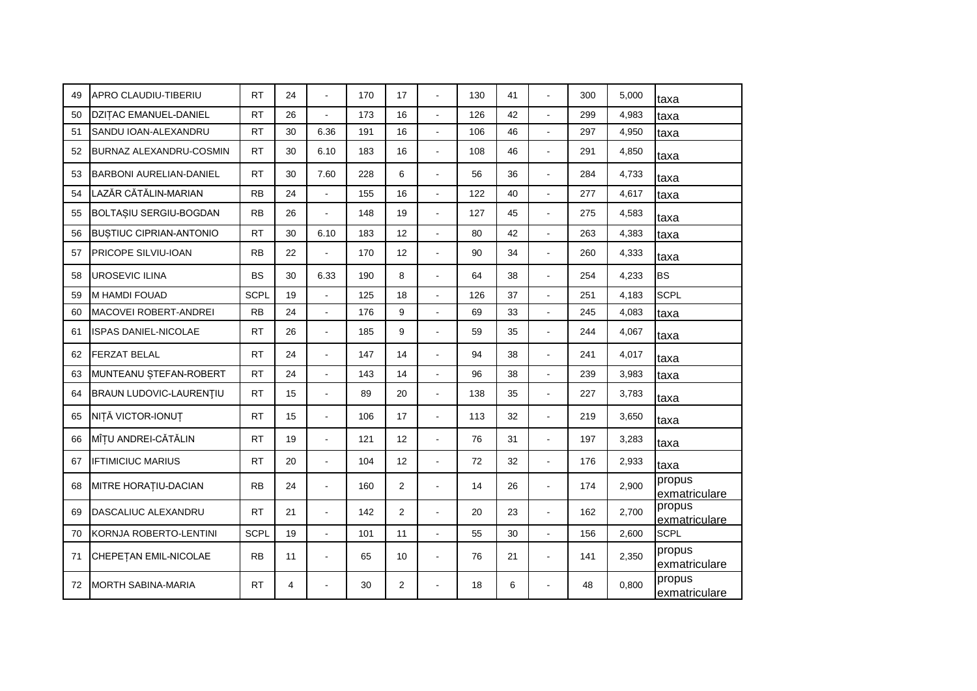| 49 | APRO CLAUDIU-TIBERIU           | <b>RT</b>   | 24 | $\overline{a}$ | 170 | 17             | $\overline{a}$       | 130 | 41 | ÷.                       | 300 | 5,000 | taxa                    |
|----|--------------------------------|-------------|----|----------------|-----|----------------|----------------------|-----|----|--------------------------|-----|-------|-------------------------|
| 50 | <b>DZITAC EMANUEL-DANIEL</b>   | <b>RT</b>   | 26 | $\overline{a}$ | 173 | 16             | $\blacksquare$       | 126 | 42 | $\overline{a}$           | 299 | 4,983 | taxa                    |
| 51 | SANDU IOAN-ALEXANDRU           | <b>RT</b>   | 30 | 6.36           | 191 | 16             | $\overline{a}$       | 106 | 46 | $\overline{a}$           | 297 | 4,950 | taxa                    |
| 52 | BURNAZ ALEXANDRU-COSMIN        | <b>RT</b>   | 30 | 6.10           | 183 | 16             | ÷,                   | 108 | 46 | $\ddot{\phantom{1}}$     | 291 | 4,850 | taxa                    |
| 53 | <b>BARBONI AURELIAN-DANIEL</b> | <b>RT</b>   | 30 | 7.60           | 228 | 6              | $\overline{a}$       | 56  | 36 | $\overline{a}$           | 284 | 4,733 | taxa                    |
| 54 | LAZĂR CĂTĂLIN-MARIAN           | <b>RB</b>   | 24 | $\overline{a}$ | 155 | 16             | $\overline{a}$       | 122 | 40 |                          | 277 | 4,617 | taxa                    |
| 55 | BOLTAȘIU SERGIU-BOGDAN         | <b>RB</b>   | 26 | $\overline{a}$ | 148 | 19             | $\ddot{\phantom{a}}$ | 127 | 45 | $\overline{\phantom{a}}$ | 275 | 4,583 | taxa                    |
| 56 | <b>BUSTIUC CIPRIAN-ANTONIO</b> | <b>RT</b>   | 30 | 6.10           | 183 | 12             | $\overline{a}$       | 80  | 42 |                          | 263 | 4,383 | taxa                    |
| 57 | PRICOPE SILVIU-IOAN            | <b>RB</b>   | 22 | $\overline{a}$ | 170 | 12             | $\overline{a}$       | 90  | 34 | $\overline{\phantom{a}}$ | 260 | 4,333 | taxa                    |
| 58 | <b>UROSEVIC ILINA</b>          | <b>BS</b>   | 30 | 6.33           | 190 | 8              | $\ddot{\phantom{a}}$ | 64  | 38 | $\overline{\phantom{a}}$ | 254 | 4,233 | <b>BS</b>               |
| 59 | M HAMDI FOUAD                  | <b>SCPL</b> | 19 | L,             | 125 | 18             | $\overline{a}$       | 126 | 37 |                          | 251 | 4,183 | <b>SCPL</b>             |
| 60 | <b>MACOVEI ROBERT-ANDREI</b>   | <b>RB</b>   | 24 | $\overline{a}$ | 176 | 9              | $\overline{a}$       | 69  | 33 | $\overline{\phantom{a}}$ | 245 | 4,083 | taxa                    |
| 61 | ISPAS DANIEL-NICOLAE           | <b>RT</b>   | 26 | $\overline{a}$ | 185 | 9              | ÷,                   | 59  | 35 | $\blacksquare$           | 244 | 4,067 | taxa                    |
| 62 | FERZAT BELAL                   | <b>RT</b>   | 24 | $\overline{a}$ | 147 | 14             |                      | 94  | 38 | $\overline{\phantom{a}}$ | 241 | 4,017 | taxa                    |
| 63 | MUNTEANU ȘTEFAN-ROBERT         | <b>RT</b>   | 24 | L,             | 143 | 14             |                      | 96  | 38 |                          | 239 | 3,983 | taxa                    |
| 64 | <b>BRAUN LUDOVIC-LAURENTIU</b> | <b>RT</b>   | 15 | $\overline{a}$ | 89  | 20             | $\overline{a}$       | 138 | 35 | $\overline{a}$           | 227 | 3,783 | taxa                    |
| 65 | NIȚĂ VICTOR-IONUȚ              | <b>RT</b>   | 15 | $\overline{a}$ | 106 | 17             | ä,                   | 113 | 32 |                          | 219 | 3,650 | taxa                    |
| 66 | MÎȚU ANDREI-CĂTĂLIN            | <b>RT</b>   | 19 | $\overline{a}$ | 121 | 12             | ÷,                   | 76  | 31 | $\ddot{\phantom{1}}$     | 197 | 3,283 | taxa                    |
| 67 | <b>IFTIMICIUC MARIUS</b>       | <b>RT</b>   | 20 | $\overline{a}$ | 104 | 12             | $\ddot{\phantom{a}}$ | 72  | 32 | $\sim$                   | 176 | 2,933 | taxa                    |
| 68 | MITRE HORATIU-DACIAN           | <b>RB</b>   | 24 | $\overline{a}$ | 160 | $\overline{2}$ |                      | 14  | 26 |                          | 174 | 2,900 | propus<br>exmatriculare |
| 69 | DASCALIUC ALEXANDRU            | <b>RT</b>   | 21 | $\overline{a}$ | 142 | 2              | ÷.                   | 20  | 23 | $\overline{a}$           | 162 | 2,700 | propus<br>exmatriculare |
| 70 | KORNJA ROBERTO-LENTINI         | <b>SCPL</b> | 19 | $\overline{a}$ | 101 | 11             | $\overline{a}$       | 55  | 30 |                          | 156 | 2,600 | <b>SCPL</b>             |
| 71 | CHEPETAN EMIL-NICOLAE          | <b>RB</b>   | 11 | L,             | 65  | 10             | ä,                   | 76  | 21 | $\blacksquare$           | 141 | 2,350 | propus<br>exmatriculare |
| 72 | <b>MORTH SABINA-MARIA</b>      | <b>RT</b>   | 4  |                | 30  | 2              |                      | 18  | 6  |                          | 48  | 0,800 | propus<br>exmatriculare |